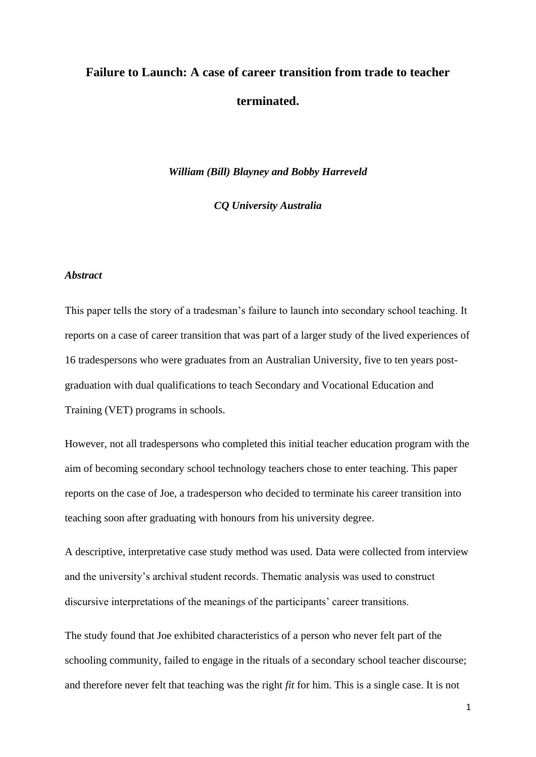# **Failure to Launch: A case of career transition from trade to teacher terminated.**

*William (Bill) Blayney and Bobby Harreveld* 

*CQ University Australia*

#### *Abstract*

This paper tells the story of a tradesman's failure to launch into secondary school teaching. It reports on a case of career transition that was part of a larger study of the lived experiences of 16 tradespersons who were graduates from an Australian University, five to ten years postgraduation with dual qualifications to teach Secondary and Vocational Education and Training (VET) programs in schools.

However, not all tradespersons who completed this initial teacher education program with the aim of becoming secondary school technology teachers chose to enter teaching. This paper reports on the case of Joe, a tradesperson who decided to terminate his career transition into teaching soon after graduating with honours from his university degree.

A descriptive, interpretative case study method was used. Data were collected from interview and the university's archival student records. Thematic analysis was used to construct discursive interpretations of the meanings of the participants' career transitions.

The study found that Joe exhibited characteristics of a person who never felt part of the schooling community, failed to engage in the rituals of a secondary school teacher discourse; and therefore never felt that teaching was the right *fit* for him. This is a single case. It is not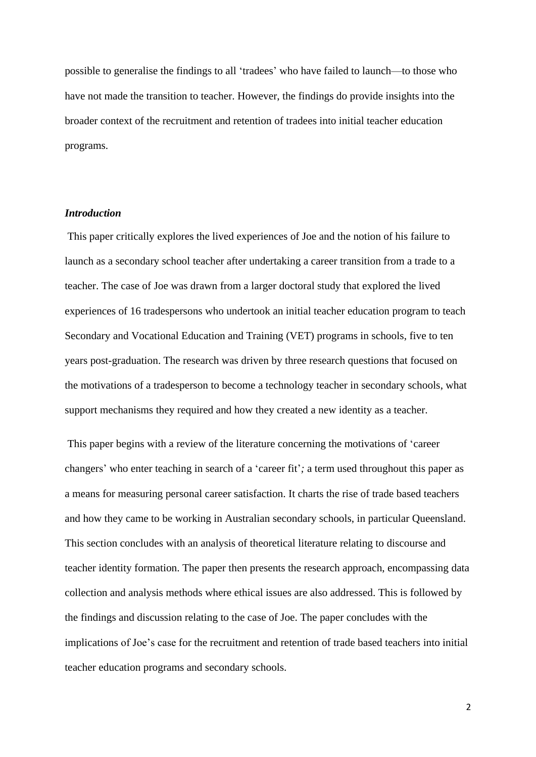possible to generalise the findings to all 'tradees' who have failed to launch—to those who have not made the transition to teacher. However, the findings do provide insights into the broader context of the recruitment and retention of tradees into initial teacher education programs.

## *Introduction*

This paper critically explores the lived experiences of Joe and the notion of his failure to launch as a secondary school teacher after undertaking a career transition from a trade to a teacher. The case of Joe was drawn from a larger doctoral study that explored the lived experiences of 16 tradespersons who undertook an initial teacher education program to teach Secondary and Vocational Education and Training (VET) programs in schools, five to ten years post-graduation. The research was driven by three research questions that focused on the motivations of a tradesperson to become a technology teacher in secondary schools, what support mechanisms they required and how they created a new identity as a teacher.

This paper begins with a review of the literature concerning the motivations of 'career changers' who enter teaching in search of a 'career fit'*;* a term used throughout this paper as a means for measuring personal career satisfaction. It charts the rise of trade based teachers and how they came to be working in Australian secondary schools, in particular Queensland. This section concludes with an analysis of theoretical literature relating to discourse and teacher identity formation. The paper then presents the research approach, encompassing data collection and analysis methods where ethical issues are also addressed. This is followed by the findings and discussion relating to the case of Joe. The paper concludes with the implications of Joe's case for the recruitment and retention of trade based teachers into initial teacher education programs and secondary schools.

2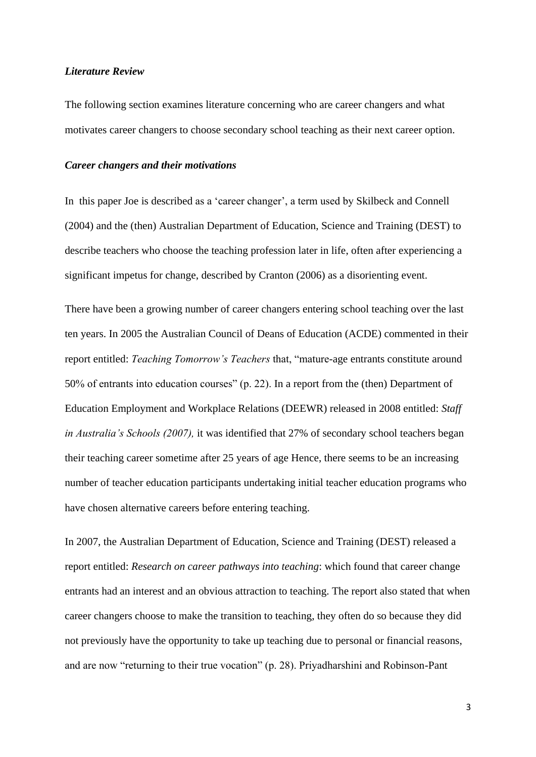#### *Literature Review*

The following section examines literature concerning who are career changers and what motivates career changers to choose secondary school teaching as their next career option.

#### *Career changers and their motivations*

In this paper Joe is described as a 'career changer', a term used by Skilbeck and Connell (2004) and the (then) Australian Department of Education, Science and Training (DEST) to describe teachers who choose the teaching profession later in life, often after experiencing a significant impetus for change, described by Cranton (2006) as a disorienting event.

There have been a growing number of career changers entering school teaching over the last ten years. In 2005 the Australian Council of Deans of Education (ACDE) commented in their report entitled: *Teaching Tomorrow's Teachers* that, "mature-age entrants constitute around 50% of entrants into education courses" (p. 22). In a report from the (then) Department of Education Employment and Workplace Relations (DEEWR) released in 2008 entitled: *Staff in Australia's Schools (2007),* it was identified that 27% of secondary school teachers began their teaching career sometime after 25 years of age Hence, there seems to be an increasing number of teacher education participants undertaking initial teacher education programs who have chosen alternative careers before entering teaching.

In 2007, the Australian Department of Education, Science and Training (DEST) released a report entitled: *Research on career pathways into teaching*: which found that career change entrants had an interest and an obvious attraction to teaching. The report also stated that when career changers choose to make the transition to teaching, they often do so because they did not previously have the opportunity to take up teaching due to personal or financial reasons, and are now "returning to their true vocation" (p. 28). Priyadharshini and Robinson-Pant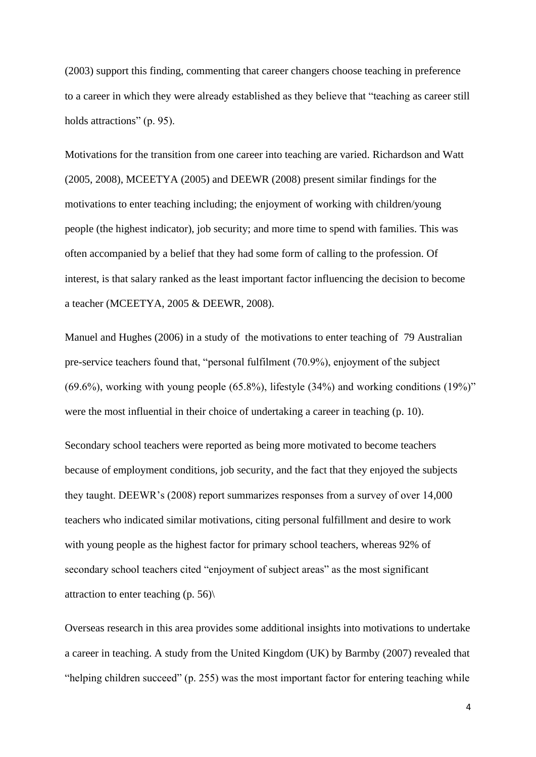(2003) support this finding, commenting that career changers choose teaching in preference to a career in which they were already established as they believe that "teaching as career still holds attractions" (p. 95).

Motivations for the transition from one career into teaching are varied. Richardson and Watt (2005, 2008), MCEETYA (2005) and DEEWR (2008) present similar findings for the motivations to enter teaching including; the enjoyment of working with children/young people (the highest indicator), job security; and more time to spend with families. This was often accompanied by a belief that they had some form of calling to the profession. Of interest, is that salary ranked as the least important factor influencing the decision to become a teacher (MCEETYA, 2005 & DEEWR, 2008).

Manuel and Hughes (2006) in a study of the motivations to enter teaching of 79 Australian pre-service teachers found that, "personal fulfilment (70.9%), enjoyment of the subject (69.6%), working with young people (65.8%), lifestyle (34%) and working conditions (19%)" were the most influential in their choice of undertaking a career in teaching (p. 10).

Secondary school teachers were reported as being more motivated to become teachers because of employment conditions, job security, and the fact that they enjoyed the subjects they taught. DEEWR's (2008) report summarizes responses from a survey of over 14,000 teachers who indicated similar motivations, citing personal fulfillment and desire to work with young people as the highest factor for primary school teachers, whereas 92% of secondary school teachers cited "enjoyment of subject areas" as the most significant attraction to enter teaching (p. 56)\

Overseas research in this area provides some additional insights into motivations to undertake a career in teaching. A study from the United Kingdom (UK) by Barmby (2007) revealed that "helping children succeed" (p. 255) was the most important factor for entering teaching while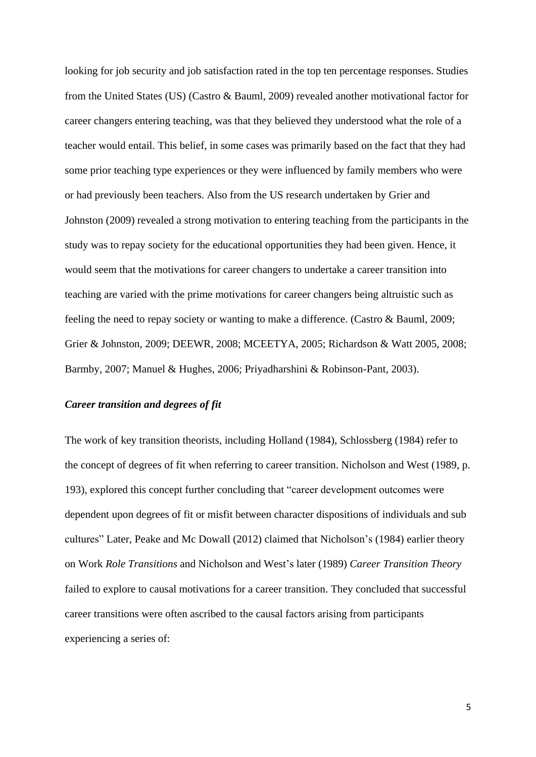looking for job security and job satisfaction rated in the top ten percentage responses. Studies from the United States (US) (Castro & Bauml, 2009) revealed another motivational factor for career changers entering teaching, was that they believed they understood what the role of a teacher would entail. This belief, in some cases was primarily based on the fact that they had some prior teaching type experiences or they were influenced by family members who were or had previously been teachers. Also from the US research undertaken by Grier and Johnston (2009) revealed a strong motivation to entering teaching from the participants in the study was to repay society for the educational opportunities they had been given. Hence, it would seem that the motivations for career changers to undertake a career transition into teaching are varied with the prime motivations for career changers being altruistic such as feeling the need to repay society or wanting to make a difference. (Castro & Bauml, 2009; Grier & Johnston, 2009; DEEWR, 2008; MCEETYA, 2005; Richardson & Watt 2005, 2008; Barmby, 2007; Manuel & Hughes, 2006; Priyadharshini & Robinson-Pant, 2003).

#### *Career transition and degrees of fit*

The work of key transition theorists, including Holland (1984), Schlossberg (1984) refer to the concept of degrees of fit when referring to career transition. Nicholson and West (1989, p. 193), explored this concept further concluding that "career development outcomes were dependent upon degrees of fit or misfit between character dispositions of individuals and sub cultures" Later, Peake and Mc Dowall (2012) claimed that Nicholson's (1984) earlier theory on Work *Role Transitions* and Nicholson and West's later (1989) *Career Transition Theory* failed to explore to causal motivations for a career transition. They concluded that successful career transitions were often ascribed to the causal factors arising from participants experiencing a series of: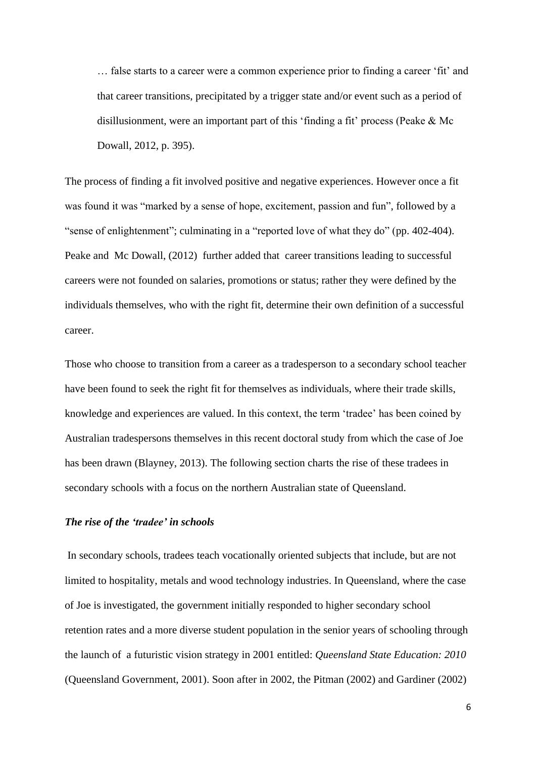… false starts to a career were a common experience prior to finding a career 'fit' and that career transitions, precipitated by a trigger state and/or event such as a period of disillusionment, were an important part of this 'finding a fit' process (Peake & Mc Dowall, 2012, p. 395).

The process of finding a fit involved positive and negative experiences. However once a fit was found it was "marked by a sense of hope, excitement, passion and fun", followed by a "sense of enlightenment"; culminating in a "reported love of what they do" (pp. 402-404). Peake and Mc Dowall, (2012) further added that career transitions leading to successful careers were not founded on salaries, promotions or status; rather they were defined by the individuals themselves, who with the right fit, determine their own definition of a successful career.

Those who choose to transition from a career as a tradesperson to a secondary school teacher have been found to seek the right fit for themselves as individuals, where their trade skills, knowledge and experiences are valued. In this context, the term 'tradee' has been coined by Australian tradespersons themselves in this recent doctoral study from which the case of Joe has been drawn (Blayney, 2013). The following section charts the rise of these tradees in secondary schools with a focus on the northern Australian state of Queensland.

## *The rise of the 'tradee' in schools*

In secondary schools, tradees teach vocationally oriented subjects that include, but are not limited to hospitality, metals and wood technology industries. In Queensland, where the case of Joe is investigated, the government initially responded to higher secondary school retention rates and a more diverse student population in the senior years of schooling through the launch of a futuristic vision strategy in 2001 entitled: *Queensland State Education: 2010* (Queensland Government, 2001). Soon after in 2002, the Pitman (2002) and Gardiner (2002)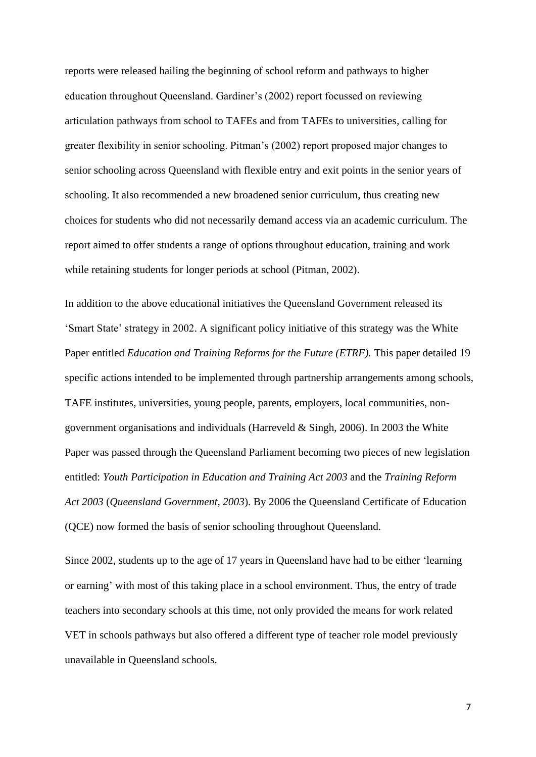reports were released hailing the beginning of school reform and pathways to higher education throughout Queensland. Gardiner's (2002) report focussed on reviewing articulation pathways from school to TAFEs and from TAFEs to universities, calling for greater flexibility in senior schooling. Pitman's (2002) report proposed major changes to senior schooling across Queensland with flexible entry and exit points in the senior years of schooling. It also recommended a new broadened senior curriculum, thus creating new choices for students who did not necessarily demand access via an academic curriculum. The report aimed to offer students a range of options throughout education, training and work while retaining students for longer periods at school (Pitman, 2002).

In addition to the above educational initiatives the Queensland Government released its 'Smart State' strategy in 2002. A significant policy initiative of this strategy was the White Paper entitled *Education and Training Reforms for the Future (ETRF).* This paper detailed 19 specific actions intended to be implemented through partnership arrangements among schools, TAFE institutes, universities, young people, parents, employers, local communities, nongovernment organisations and individuals (Harreveld & Singh, 2006). In 2003 the White Paper was passed through the Queensland Parliament becoming two pieces of new legislation entitled: *Youth Participation in Education and Training Act 2003* and the *Training Reform Act 2003* (*Queensland Government, 2003*). By 2006 the Queensland Certificate of Education (QCE) now formed the basis of senior schooling throughout Queensland.

Since 2002, students up to the age of 17 years in Queensland have had to be either 'learning or earning' with most of this taking place in a school environment. Thus, the entry of trade teachers into secondary schools at this time, not only provided the means for work related VET in schools pathways but also offered a different type of teacher role model previously unavailable in Queensland schools.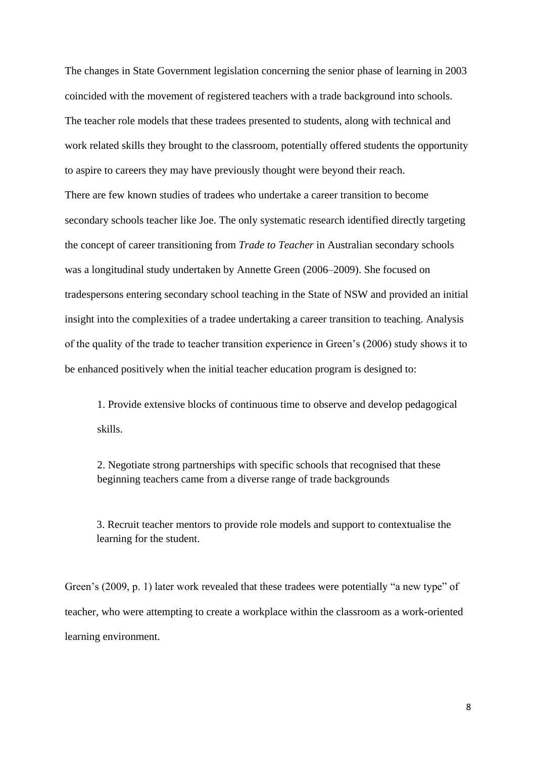The changes in State Government legislation concerning the senior phase of learning in 2003 coincided with the movement of registered teachers with a trade background into schools. The teacher role models that these tradees presented to students, along with technical and work related skills they brought to the classroom, potentially offered students the opportunity to aspire to careers they may have previously thought were beyond their reach. There are few known studies of tradees who undertake a career transition to become secondary schools teacher like Joe. The only systematic research identified directly targeting the concept of career transitioning from *Trade to Teacher* in Australian secondary schools was a longitudinal study undertaken by Annette Green (2006–2009). She focused on tradespersons entering secondary school teaching in the State of NSW and provided an initial insight into the complexities of a tradee undertaking a career transition to teaching. Analysis of the quality of the trade to teacher transition experience in Green's (2006) study shows it to be enhanced positively when the initial teacher education program is designed to:

1. Provide extensive blocks of continuous time to observe and develop pedagogical skills.

2. Negotiate strong partnerships with specific schools that recognised that these beginning teachers came from a diverse range of trade backgrounds

3. Recruit teacher mentors to provide role models and support to contextualise the learning for the student.

Green's (2009, p. 1) later work revealed that these tradees were potentially "a new type" of teacher, who were attempting to create a workplace within the classroom as a work-oriented learning environment.

8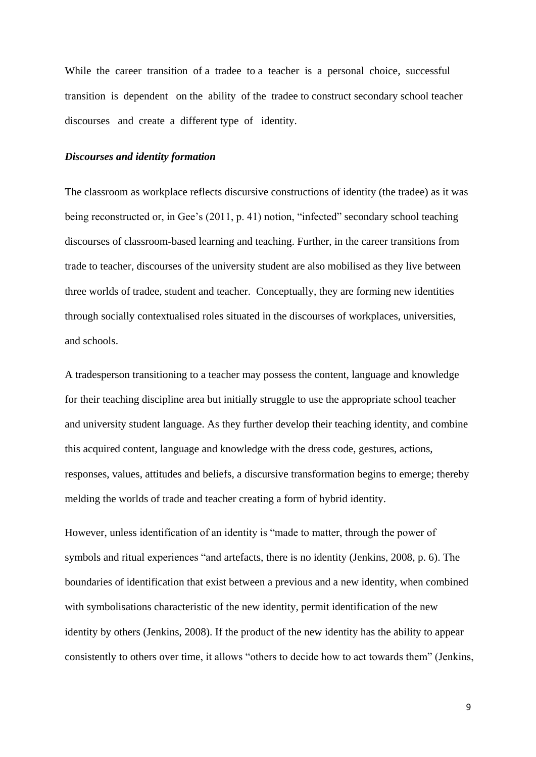While the career transition of a tradee to a teacher is a personal choice, successful transition is dependent on the ability of the tradee to construct secondary school teacher discourses and create a different type of identity.

#### *Discourses and identity formation*

The classroom as workplace reflects discursive constructions of identity (the tradee) as it was being reconstructed or, in Gee's (2011, p. 41) notion, "infected" secondary school teaching discourses of classroom-based learning and teaching. Further, in the career transitions from trade to teacher, discourses of the university student are also mobilised as they live between three worlds of tradee, student and teacher. Conceptually, they are forming new identities through socially contextualised roles situated in the discourses of workplaces, universities, and schools.

A tradesperson transitioning to a teacher may possess the content, language and knowledge for their teaching discipline area but initially struggle to use the appropriate school teacher and university student language. As they further develop their teaching identity, and combine this acquired content, language and knowledge with the dress code, gestures, actions, responses, values, attitudes and beliefs, a discursive transformation begins to emerge; thereby melding the worlds of trade and teacher creating a form of hybrid identity.

However, unless identification of an identity is "made to matter, through the power of symbols and ritual experiences "and artefacts, there is no identity (Jenkins, 2008, p. 6). The boundaries of identification that exist between a previous and a new identity, when combined with symbolisations characteristic of the new identity, permit identification of the new identity by others (Jenkins, 2008). If the product of the new identity has the ability to appear consistently to others over time, it allows "others to decide how to act towards them" (Jenkins,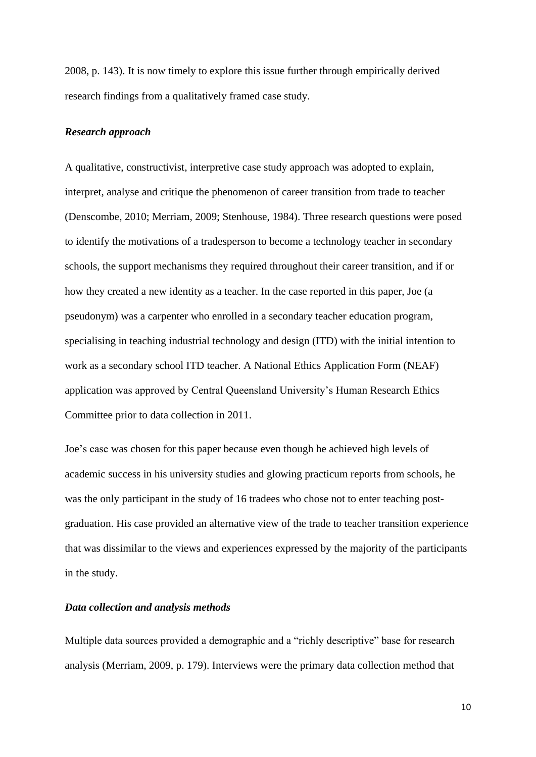2008, p. 143). It is now timely to explore this issue further through empirically derived research findings from a qualitatively framed case study.

#### *Research approach*

A qualitative, constructivist, interpretive case study approach was adopted to explain, interpret, analyse and critique the phenomenon of career transition from trade to teacher (Denscombe, 2010; Merriam, 2009; Stenhouse, 1984). Three research questions were posed to identify the motivations of a tradesperson to become a technology teacher in secondary schools, the support mechanisms they required throughout their career transition, and if or how they created a new identity as a teacher. In the case reported in this paper, Joe (a pseudonym) was a carpenter who enrolled in a secondary teacher education program, specialising in teaching industrial technology and design (ITD) with the initial intention to work as a secondary school ITD teacher. A National Ethics Application Form (NEAF) application was approved by Central Queensland University's Human Research Ethics Committee prior to data collection in 2011.

Joe's case was chosen for this paper because even though he achieved high levels of academic success in his university studies and glowing practicum reports from schools, he was the only participant in the study of 16 tradees who chose not to enter teaching postgraduation. His case provided an alternative view of the trade to teacher transition experience that was dissimilar to the views and experiences expressed by the majority of the participants in the study.

#### *Data collection and analysis methods*

Multiple data sources provided a demographic and a "richly descriptive" base for research analysis (Merriam, 2009, p. 179). Interviews were the primary data collection method that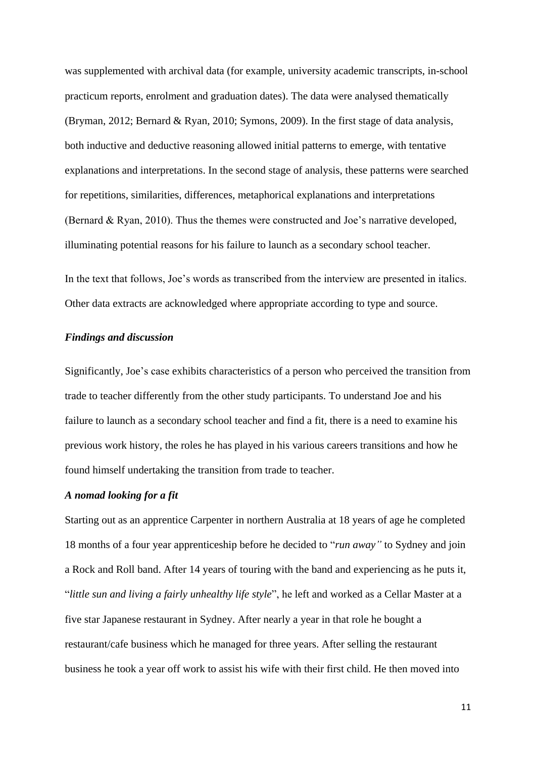was supplemented with archival data (for example, university academic transcripts, in-school practicum reports, enrolment and graduation dates). The data were analysed thematically (Bryman, 2012; Bernard & Ryan, 2010; Symons, 2009). In the first stage of data analysis, both inductive and deductive reasoning allowed initial patterns to emerge, with tentative explanations and interpretations. In the second stage of analysis, these patterns were searched for repetitions, similarities, differences, metaphorical explanations and interpretations (Bernard & Ryan, 2010). Thus the themes were constructed and Joe's narrative developed, illuminating potential reasons for his failure to launch as a secondary school teacher.

In the text that follows, Joe's words as transcribed from the interview are presented in italics. Other data extracts are acknowledged where appropriate according to type and source.

#### *Findings and discussion*

Significantly, Joe's case exhibits characteristics of a person who perceived the transition from trade to teacher differently from the other study participants. To understand Joe and his failure to launch as a secondary school teacher and find a fit*,* there is a need to examine his previous work history, the roles he has played in his various careers transitions and how he found himself undertaking the transition from trade to teacher.

#### *A nomad looking for a fit*

Starting out as an apprentice Carpenter in northern Australia at 18 years of age he completed 18 months of a four year apprenticeship before he decided to "*run away"* to Sydney and join a Rock and Roll band. After 14 years of touring with the band and experiencing as he puts it, "*little sun and living a fairly unhealthy life style*", he left and worked as a Cellar Master at a five star Japanese restaurant in Sydney. After nearly a year in that role he bought a restaurant/cafe business which he managed for three years. After selling the restaurant business he took a year off work to assist his wife with their first child. He then moved into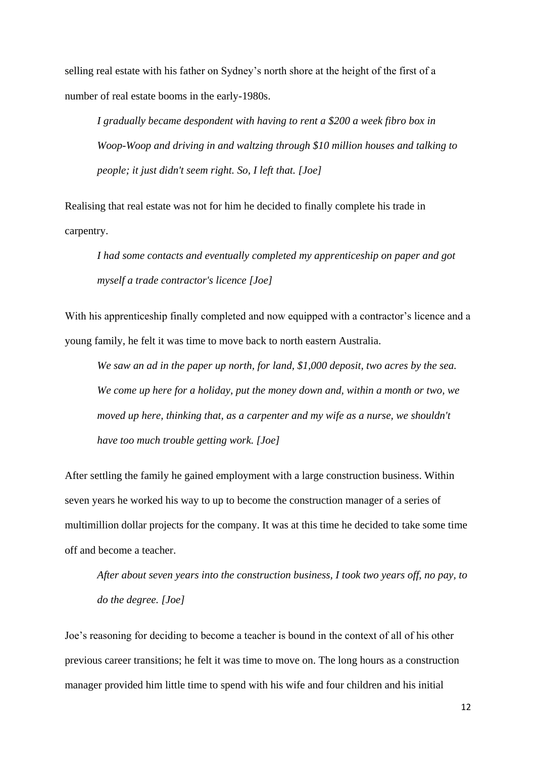selling real estate with his father on Sydney's north shore at the height of the first of a number of real estate booms in the early-1980s.

*I gradually became despondent with having to rent a \$200 a week fibro box in Woop-Woop and driving in and waltzing through \$10 million houses and talking to people; it just didn't seem right. So, I left that. [Joe]*

Realising that real estate was not for him he decided to finally complete his trade in carpentry.

*I had some contacts and eventually completed my apprenticeship on paper and got myself a trade contractor's licence [Joe]*

With his apprenticeship finally completed and now equipped with a contractor's licence and a young family, he felt it was time to move back to north eastern Australia.

*We saw an ad in the paper up north, for land, \$1,000 deposit, two acres by the sea. We come up here for a holiday, put the money down and, within a month or two, we moved up here, thinking that, as a carpenter and my wife as a nurse, we shouldn't have too much trouble getting work. [Joe]*

After settling the family he gained employment with a large construction business. Within seven years he worked his way to up to become the construction manager of a series of multimillion dollar projects for the company. It was at this time he decided to take some time off and become a teacher.

*After about seven years into the construction business, I took two years off, no pay, to do the degree. [Joe]*

Joe's reasoning for deciding to become a teacher is bound in the context of all of his other previous career transitions; he felt it was time to move on. The long hours as a construction manager provided him little time to spend with his wife and four children and his initial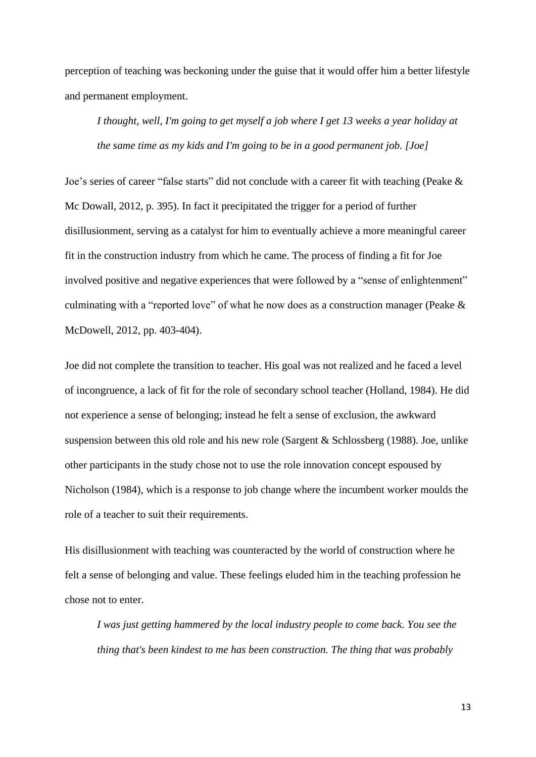perception of teaching was beckoning under the guise that it would offer him a better lifestyle and permanent employment.

*I thought, well, I'm going to get myself a job where I get 13 weeks a year holiday at the same time as my kids and I'm going to be in a good permanent job. [Joe]*

Joe's series of career "false starts" did not conclude with a career fit with teaching (Peake & Mc Dowall, 2012, p. 395). In fact it precipitated the trigger for a period of further disillusionment, serving as a catalyst for him to eventually achieve a more meaningful career fit in the construction industry from which he came. The process of finding a fit for Joe involved positive and negative experiences that were followed by a "sense of enlightenment" culminating with a "reported love" of what he now does as a construction manager (Peake & McDowell, 2012, pp. 403-404).

Joe did not complete the transition to teacher. His goal was not realized and he faced a level of incongruence, a lack of fit for the role of secondary school teacher (Holland, 1984). He did not experience a sense of belonging; instead he felt a sense of exclusion*,* the awkward suspension between this old role and his new role (Sargent & Schlossberg (1988). Joe, unlike other participants in the study chose not to use the role innovation concept espoused by Nicholson (1984), which is a response to job change where the incumbent worker moulds the role of a teacher to suit their requirements.

His disillusionment with teaching was counteracted by the world of construction where he felt a sense of belonging and value. These feelings eluded him in the teaching profession he chose not to enter.

*I was just getting hammered by the local industry people to come back. You see the thing that's been kindest to me has been construction. The thing that was probably*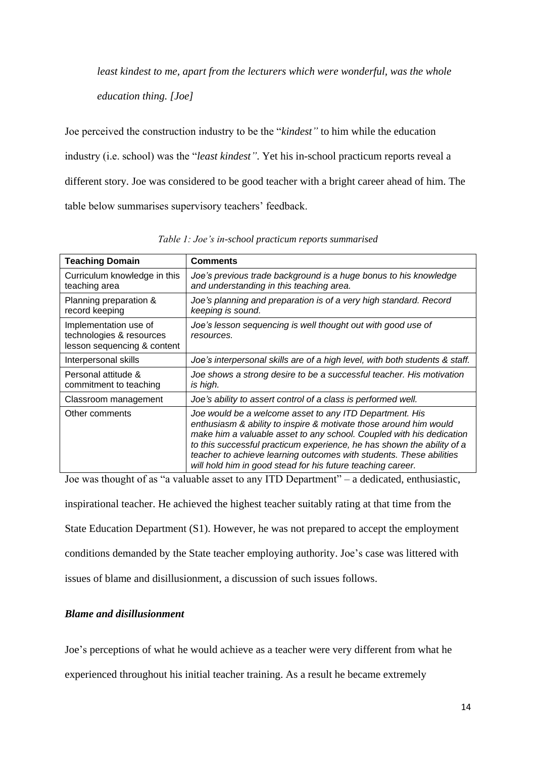*least kindest to me, apart from the lecturers which were wonderful, was the whole* 

*education thing. [Joe]*

Joe perceived the construction industry to be the "*kindest"* to him while the education industry (i.e. school) was the "*least kindest"*. Yet his in-school practicum reports reveal a different story. Joe was considered to be good teacher with a bright career ahead of him. The table below summarises supervisory teachers' feedback.

| <b>Teaching Domain</b>                                                           | <b>Comments</b>                                                                                                                                                                                                                                                                                                                                                                                                      |
|----------------------------------------------------------------------------------|----------------------------------------------------------------------------------------------------------------------------------------------------------------------------------------------------------------------------------------------------------------------------------------------------------------------------------------------------------------------------------------------------------------------|
| Curriculum knowledge in this<br>teaching area                                    | Joe's previous trade background is a huge bonus to his knowledge<br>and understanding in this teaching area.                                                                                                                                                                                                                                                                                                         |
| Planning preparation &<br>record keeping                                         | Joe's planning and preparation is of a very high standard. Record<br>keeping is sound.                                                                                                                                                                                                                                                                                                                               |
| Implementation use of<br>technologies & resources<br>lesson sequencing & content | Joe's lesson sequencing is well thought out with good use of<br>resources.                                                                                                                                                                                                                                                                                                                                           |
| Interpersonal skills                                                             | Joe's interpersonal skills are of a high level, with both students & staff.                                                                                                                                                                                                                                                                                                                                          |
| Personal attitude &<br>commitment to teaching                                    | Joe shows a strong desire to be a successful teacher. His motivation<br>is high.                                                                                                                                                                                                                                                                                                                                     |
| Classroom management                                                             | Joe's ability to assert control of a class is performed well.                                                                                                                                                                                                                                                                                                                                                        |
| Other comments                                                                   | Joe would be a welcome asset to any ITD Department. His<br>enthusiasm & ability to inspire & motivate those around him would<br>make him a valuable asset to any school. Coupled with his dedication<br>to this successful practicum experience, he has shown the ability of a<br>teacher to achieve learning outcomes with students. These abilities<br>will hold him in good stead for his future teaching career. |

*Table 1: Joe's in-school practicum reports summarised*

Joe was thought of as "a valuable asset to any ITD Department" – a dedicated, enthusiastic, inspirational teacher. He achieved the highest teacher suitably rating at that time from the State Education Department (S1). However, he was not prepared to accept the employment conditions demanded by the State teacher employing authority. Joe's case was littered with issues of blame and disillusionment, a discussion of such issues follows.

# *Blame and disillusionment*

Joe's perceptions of what he would achieve as a teacher were very different from what he

experienced throughout his initial teacher training. As a result he became extremely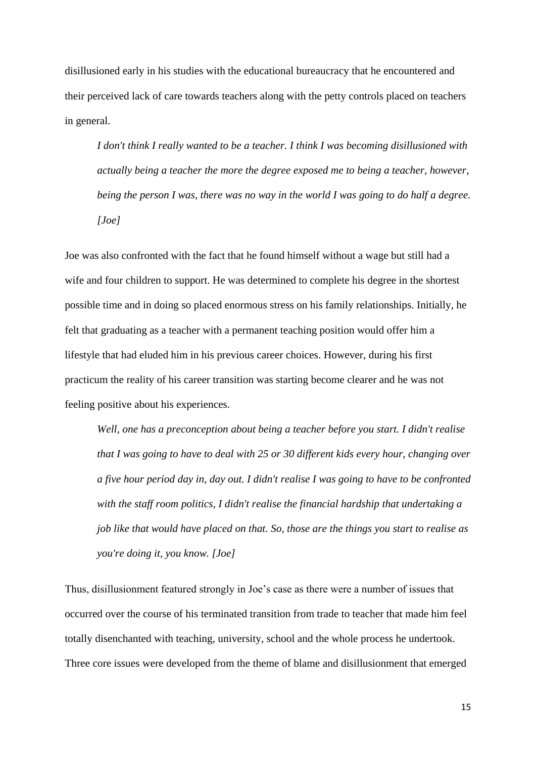disillusioned early in his studies with the educational bureaucracy that he encountered and their perceived lack of care towards teachers along with the petty controls placed on teachers in general.

*I don't think I really wanted to be a teacher. I think I was becoming disillusioned with actually being a teacher the more the degree exposed me to being a teacher, however, being the person I was, there was no way in the world I was going to do half a degree. [Joe]*

Joe was also confronted with the fact that he found himself without a wage but still had a wife and four children to support. He was determined to complete his degree in the shortest possible time and in doing so placed enormous stress on his family relationships. Initially, he felt that graduating as a teacher with a permanent teaching position would offer him a lifestyle that had eluded him in his previous career choices. However, during his first practicum the reality of his career transition was starting become clearer and he was not feeling positive about his experiences.

*Well, one has a preconception about being a teacher before you start. I didn't realise that I was going to have to deal with 25 or 30 different kids every hour, changing over a five hour period day in, day out. I didn't realise I was going to have to be confronted with the staff room politics, I didn't realise the financial hardship that undertaking a job like that would have placed on that. So, those are the things you start to realise as you're doing it, you know. [Joe]*

Thus, disillusionment featured strongly in Joe's case as there were a number of issues that occurred over the course of his terminated transition from trade to teacher that made him feel totally disenchanted with teaching, university, school and the whole process he undertook. Three core issues were developed from the theme of blame and disillusionment that emerged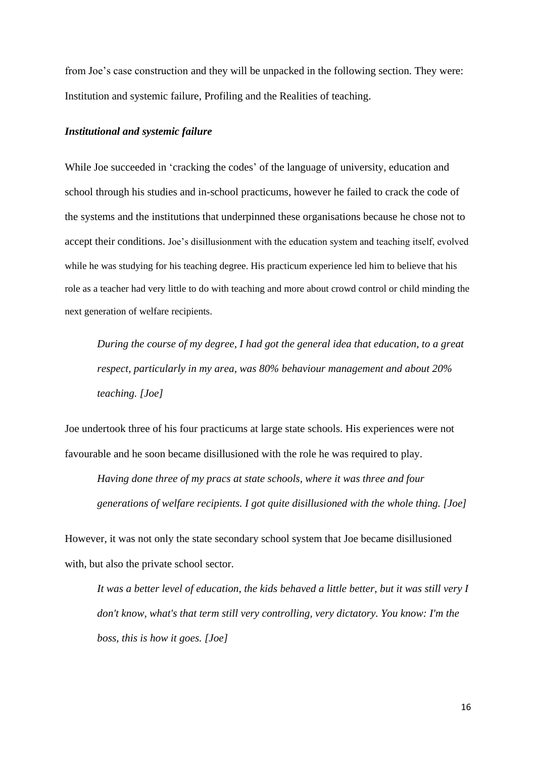from Joe's case construction and they will be unpacked in the following section. They were: Institution and systemic failure, Profiling and the Realities of teaching.

#### *Institutional and systemic failure*

While Joe succeeded in 'cracking the codes' of the language of university, education and school through his studies and in-school practicums, however he failed to crack the code of the systems and the institutions that underpinned these organisations because he chose not to accept their conditions. Joe's disillusionment with the education system and teaching itself, evolved while he was studying for his teaching degree. His practicum experience led him to believe that his role as a teacher had very little to do with teaching and more about crowd control or child minding the next generation of welfare recipients.

*During the course of my degree, I had got the general idea that education, to a great respect, particularly in my area, was 80% behaviour management and about 20% teaching. [Joe]*

Joe undertook three of his four practicums at large state schools. His experiences were not favourable and he soon became disillusioned with the role he was required to play.

*Having done three of my pracs at state schools, where it was three and four generations of welfare recipients. I got quite disillusioned with the whole thing. [Joe]*

However, it was not only the state secondary school system that Joe became disillusioned with, but also the private school sector.

*It was a better level of education, the kids behaved a little better, but it was still very I don't know, what's that term still very controlling, very dictatory. You know: I'm the boss, this is how it goes. [Joe]*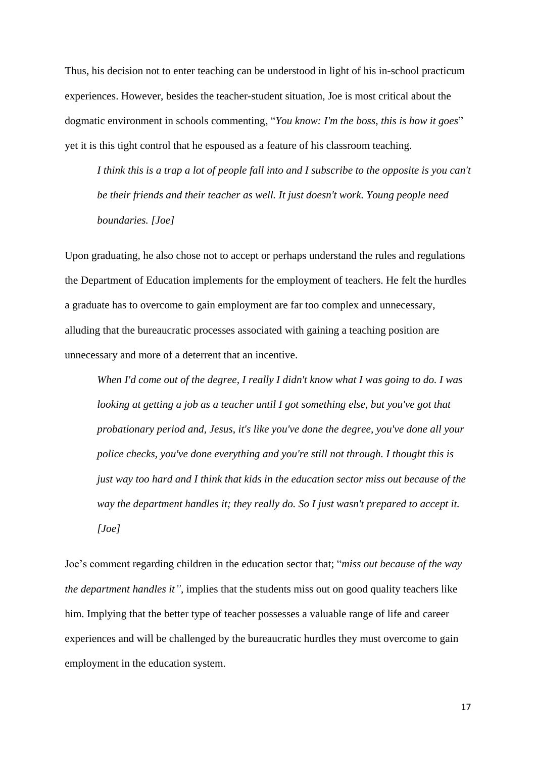Thus, his decision not to enter teaching can be understood in light of his in-school practicum experiences. However, besides the teacher-student situation, Joe is most critical about the dogmatic environment in schools commenting, "*You know: I'm the boss, this is how it goes*" yet it is this tight control that he espoused as a feature of his classroom teaching.

*I think this is a trap a lot of people fall into and I subscribe to the opposite is you can't be their friends and their teacher as well. It just doesn't work. Young people need boundaries. [Joe]*

Upon graduating, he also chose not to accept or perhaps understand the rules and regulations the Department of Education implements for the employment of teachers. He felt the hurdles a graduate has to overcome to gain employment are far too complex and unnecessary, alluding that the bureaucratic processes associated with gaining a teaching position are unnecessary and more of a deterrent that an incentive.

*When I'd come out of the degree, I really I didn't know what I was going to do. I was looking at getting a job as a teacher until I got something else, but you've got that probationary period and, Jesus, it's like you've done the degree, you've done all your police checks, you've done everything and you're still not through. I thought this is just way too hard and I think that kids in the education sector miss out because of the way the department handles it; they really do. So I just wasn't prepared to accept it. [Joe]*

Joe's comment regarding children in the education sector that; "*miss out because of the way the department handles it",* implies that the students miss out on good quality teachers like him. Implying that the better type of teacher possesses a valuable range of life and career experiences and will be challenged by the bureaucratic hurdles they must overcome to gain employment in the education system.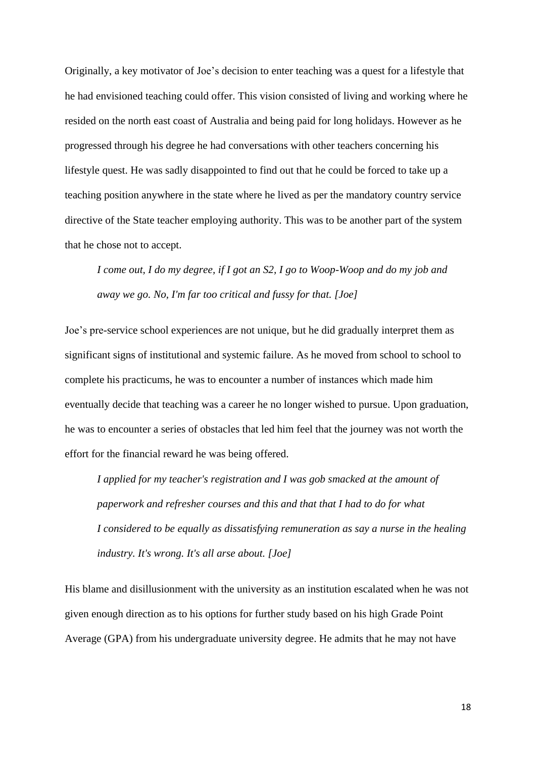Originally, a key motivator of Joe's decision to enter teaching was a quest for a lifestyle that he had envisioned teaching could offer. This vision consisted of living and working where he resided on the north east coast of Australia and being paid for long holidays. However as he progressed through his degree he had conversations with other teachers concerning his lifestyle quest. He was sadly disappointed to find out that he could be forced to take up a teaching position anywhere in the state where he lived as per the mandatory country service directive of the State teacher employing authority. This was to be another part of the system that he chose not to accept.

*I come out, I do my degree, if I got an S2, I go to Woop-Woop and do my job and away we go. No, I'm far too critical and fussy for that. [Joe]*

Joe's pre-service school experiences are not unique, but he did gradually interpret them as significant signs of institutional and systemic failure. As he moved from school to school to complete his practicums, he was to encounter a number of instances which made him eventually decide that teaching was a career he no longer wished to pursue. Upon graduation, he was to encounter a series of obstacles that led him feel that the journey was not worth the effort for the financial reward he was being offered.

*I applied for my teacher's registration and I was gob smacked at the amount of paperwork and refresher courses and this and that that I had to do for what I considered to be equally as dissatisfying remuneration as say a nurse in the healing industry. It's wrong. It's all arse about. [Joe]*

His blame and disillusionment with the university as an institution escalated when he was not given enough direction as to his options for further study based on his high Grade Point Average (GPA) from his undergraduate university degree. He admits that he may not have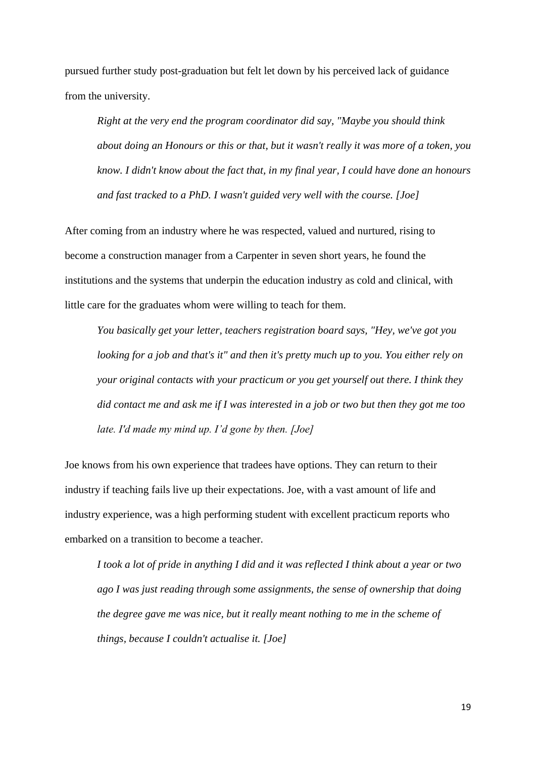pursued further study post-graduation but felt let down by his perceived lack of guidance from the university.

*Right at the very end the program coordinator did say, "Maybe you should think about doing an Honours or this or that, but it wasn't really it was more of a token, you know. I didn't know about the fact that, in my final year, I could have done an honours and fast tracked to a PhD. I wasn't guided very well with the course. [Joe]*

After coming from an industry where he was respected, valued and nurtured, rising to become a construction manager from a Carpenter in seven short years, he found the institutions and the systems that underpin the education industry as cold and clinical, with little care for the graduates whom were willing to teach for them.

*You basically get your letter, teachers registration board says, "Hey, we've got you looking for a job and that's it" and then it's pretty much up to you. You either rely on your original contacts with your practicum or you get yourself out there. I think they did contact me and ask me if I was interested in a job or two but then they got me too late. I'd made my mind up. I'd gone by then. [Joe]*

Joe knows from his own experience that tradees have options. They can return to their industry if teaching fails live up their expectations. Joe, with a vast amount of life and industry experience, was a high performing student with excellent practicum reports who embarked on a transition to become a teacher.

*I took a lot of pride in anything I did and it was reflected I think about a year or two ago I was just reading through some assignments, the sense of ownership that doing the degree gave me was nice, but it really meant nothing to me in the scheme of things, because I couldn't actualise it. [Joe]*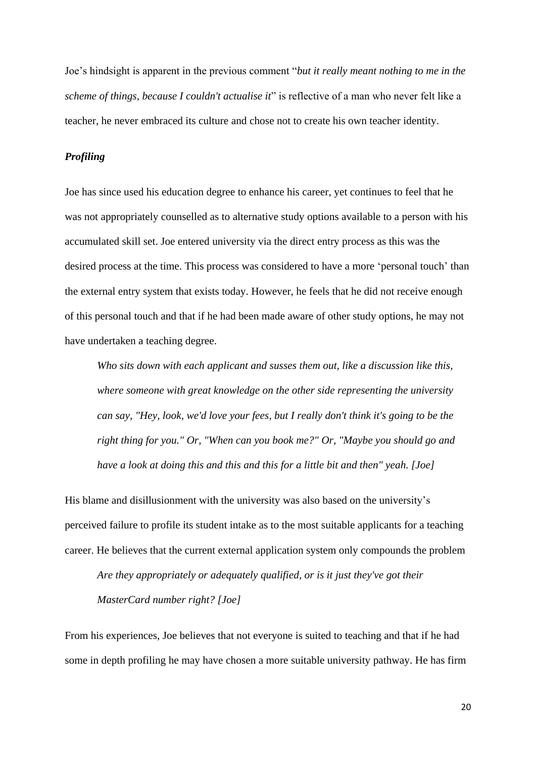Joe's hindsight is apparent in the previous comment "*but it really meant nothing to me in the scheme of things, because I couldn't actualise it*" is reflective of a man who never felt like a teacher, he never embraced its culture and chose not to create his own teacher identity.

## *Profiling*

Joe has since used his education degree to enhance his career, yet continues to feel that he was not appropriately counselled as to alternative study options available to a person with his accumulated skill set. Joe entered university via the direct entry process as this was the desired process at the time. This process was considered to have a more 'personal touch' than the external entry system that exists today. However, he feels that he did not receive enough of this personal touch and that if he had been made aware of other study options, he may not have undertaken a teaching degree.

*Who sits down with each applicant and susses them out, like a discussion like this, where someone with great knowledge on the other side representing the university can say, "Hey, look, we'd love your fees, but I really don't think it's going to be the right thing for you." Or, "When can you book me?" Or, "Maybe you should go and have a look at doing this and this and this for a little bit and then" yeah. [Joe]*

His blame and disillusionment with the university was also based on the university's perceived failure to profile its student intake as to the most suitable applicants for a teaching career. He believes that the current external application system only compounds the problem

*Are they appropriately or adequately qualified, or is it just they've got their MasterCard number right? [Joe]*

From his experiences, Joe believes that not everyone is suited to teaching and that if he had some in depth profiling he may have chosen a more suitable university pathway. He has firm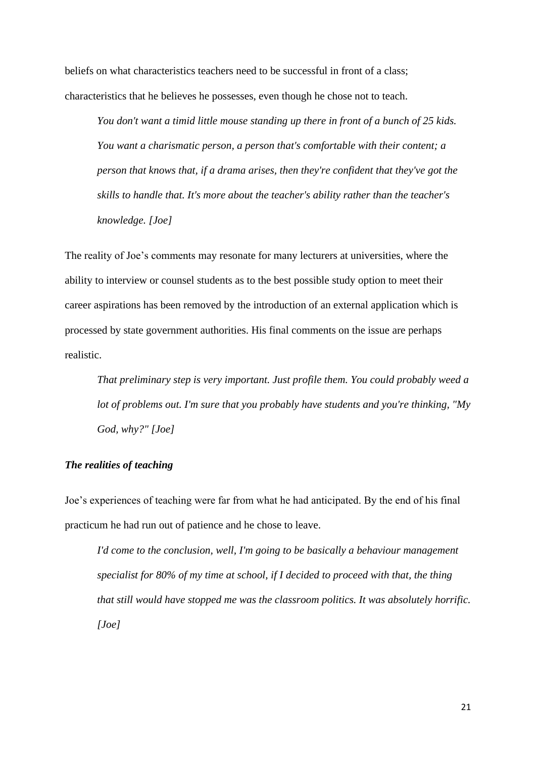beliefs on what characteristics teachers need to be successful in front of a class; characteristics that he believes he possesses, even though he chose not to teach.

*You don't want a timid little mouse standing up there in front of a bunch of 25 kids. You want a charismatic person, a person that's comfortable with their content; a person that knows that, if a drama arises, then they're confident that they've got the skills to handle that. It's more about the teacher's ability rather than the teacher's knowledge. [Joe]*

The reality of Joe's comments may resonate for many lecturers at universities, where the ability to interview or counsel students as to the best possible study option to meet their career aspirations has been removed by the introduction of an external application which is processed by state government authorities. His final comments on the issue are perhaps realistic.

*That preliminary step is very important. Just profile them. You could probably weed a lot of problems out. I'm sure that you probably have students and you're thinking, "My God, why?" [Joe]*

## *The realities of teaching*

Joe's experiences of teaching were far from what he had anticipated. By the end of his final practicum he had run out of patience and he chose to leave.

*I'd come to the conclusion, well, I'm going to be basically a behaviour management specialist for 80% of my time at school, if I decided to proceed with that, the thing that still would have stopped me was the classroom politics. It was absolutely horrific. [Joe]*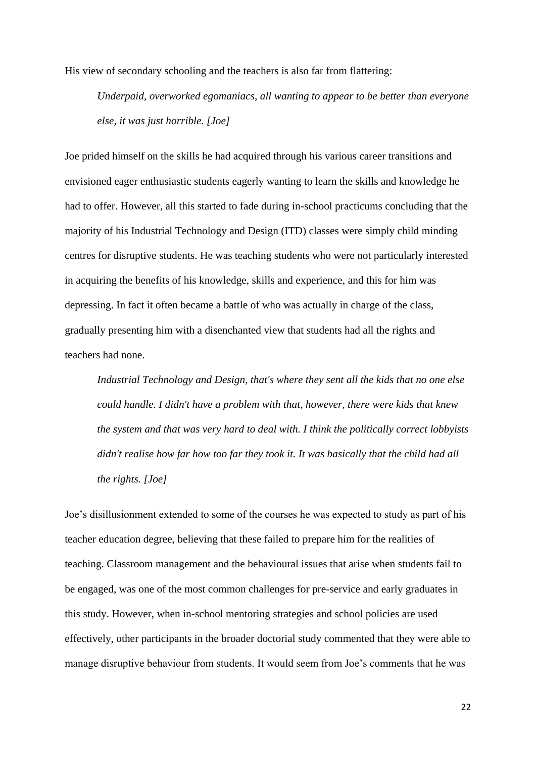His view of secondary schooling and the teachers is also far from flattering:

*Underpaid, overworked egomaniacs, all wanting to appear to be better than everyone else, it was just horrible. [Joe]*

Joe prided himself on the skills he had acquired through his various career transitions and envisioned eager enthusiastic students eagerly wanting to learn the skills and knowledge he had to offer. However, all this started to fade during in-school practicums concluding that the majority of his Industrial Technology and Design (ITD) classes were simply child minding centres for disruptive students. He was teaching students who were not particularly interested in acquiring the benefits of his knowledge, skills and experience, and this for him was depressing. In fact it often became a battle of who was actually in charge of the class, gradually presenting him with a disenchanted view that students had all the rights and teachers had none.

*Industrial Technology and Design, that's where they sent all the kids that no one else could handle. I didn't have a problem with that, however, there were kids that knew the system and that was very hard to deal with. I think the politically correct lobbyists didn't realise how far how too far they took it. It was basically that the child had all the rights. [Joe]*

Joe's disillusionment extended to some of the courses he was expected to study as part of his teacher education degree, believing that these failed to prepare him for the realities of teaching. Classroom management and the behavioural issues that arise when students fail to be engaged, was one of the most common challenges for pre-service and early graduates in this study. However, when in-school mentoring strategies and school policies are used effectively, other participants in the broader doctorial study commented that they were able to manage disruptive behaviour from students. It would seem from Joe's comments that he was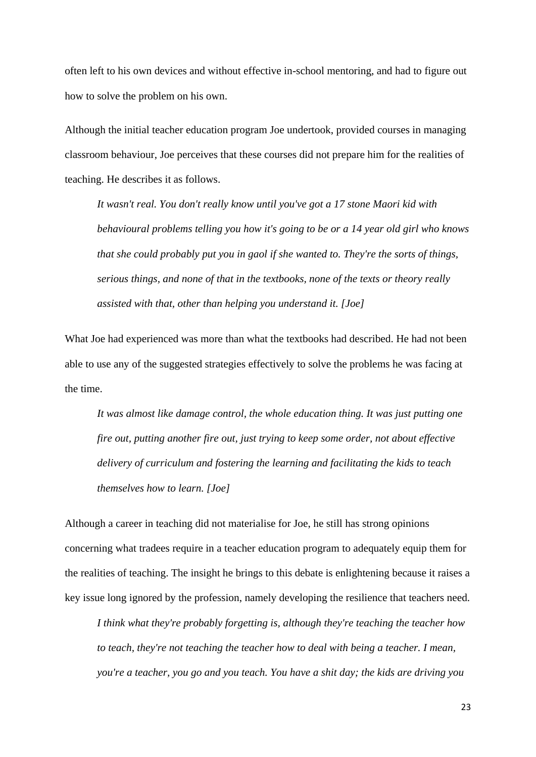often left to his own devices and without effective in-school mentoring, and had to figure out how to solve the problem on his own.

Although the initial teacher education program Joe undertook, provided courses in managing classroom behaviour, Joe perceives that these courses did not prepare him for the realities of teaching. He describes it as follows.

*It wasn't real. You don't really know until you've got a 17 stone Maori kid with behavioural problems telling you how it's going to be or a 14 year old girl who knows that she could probably put you in gaol if she wanted to. They're the sorts of things, serious things, and none of that in the textbooks, none of the texts or theory really assisted with that, other than helping you understand it. [Joe]*

What Joe had experienced was more than what the textbooks had described. He had not been able to use any of the suggested strategies effectively to solve the problems he was facing at the time.

*It was almost like damage control, the whole education thing. It was just putting one fire out, putting another fire out, just trying to keep some order, not about effective delivery of curriculum and fostering the learning and facilitating the kids to teach themselves how to learn. [Joe]*

Although a career in teaching did not materialise for Joe, he still has strong opinions concerning what tradees require in a teacher education program to adequately equip them for the realities of teaching. The insight he brings to this debate is enlightening because it raises a key issue long ignored by the profession, namely developing the resilience that teachers need.

*I think what they're probably forgetting is, although they're teaching the teacher how to teach, they're not teaching the teacher how to deal with being a teacher. I mean, you're a teacher, you go and you teach. You have a shit day; the kids are driving you*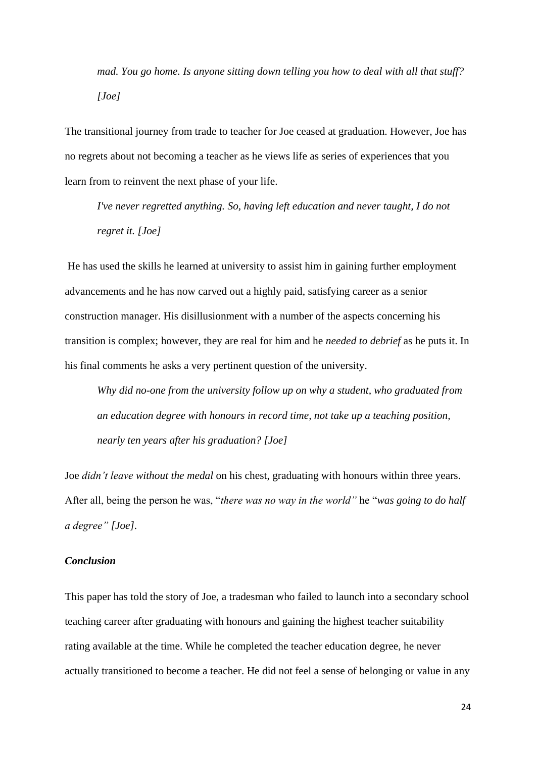*mad. You go home. Is anyone sitting down telling you how to deal with all that stuff? [Joe]*

The transitional journey from trade to teacher for Joe ceased at graduation. However, Joe has no regrets about not becoming a teacher as he views life as series of experiences that you learn from to reinvent the next phase of your life.

*I've never regretted anything. So, having left education and never taught, I do not regret it. [Joe]*

He has used the skills he learned at university to assist him in gaining further employment advancements and he has now carved out a highly paid, satisfying career as a senior construction manager. His disillusionment with a number of the aspects concerning his transition is complex; however, they are real for him and he *needed to debrief* as he puts it. In his final comments he asks a very pertinent question of the university.

*Why did no-one from the university follow up on why a student, who graduated from an education degree with honours in record time, not take up a teaching position, nearly ten years after his graduation? [Joe]*

Joe *didn't leave without the medal* on his chest, graduating with honours within three years. After all, being the person he was, "*there was no way in the world"* he "*was going to do half a degree" [Joe].*

## *Conclusion*

This paper has told the story of Joe, a tradesman who failed to launch into a secondary school teaching career after graduating with honours and gaining the highest teacher suitability rating available at the time. While he completed the teacher education degree, he never actually transitioned to become a teacher. He did not feel a sense of belonging or value in any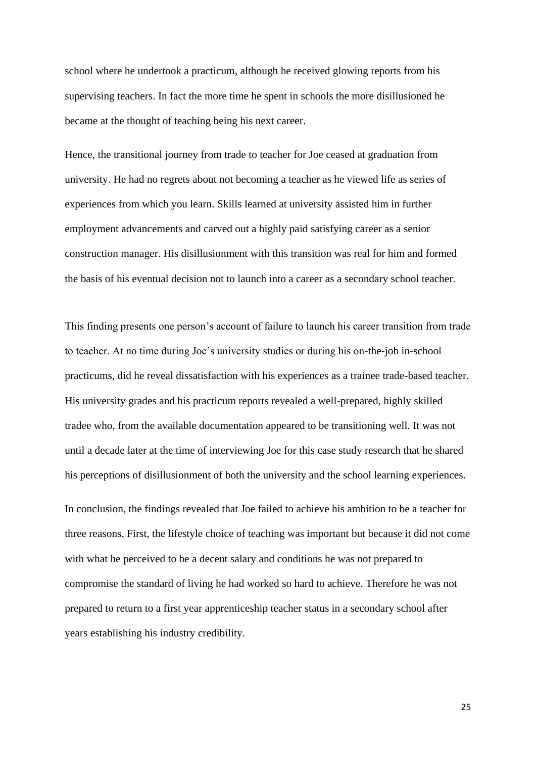school where he undertook a practicum, although he received glowing reports from his supervising teachers. In fact the more time he spent in schools the more disillusioned he became at the thought of teaching being his next career.

Hence, the transitional journey from trade to teacher for Joe ceased at graduation from university. He had no regrets about not becoming a teacher as he viewed life as series of experiences from which you learn. Skills learned at university assisted him in further employment advancements and carved out a highly paid satisfying career as a senior construction manager. His disillusionment with this transition was real for him and formed the basis of his eventual decision not to launch into a career as a secondary school teacher.

This finding presents one person's account of failure to launch his career transition from trade to teacher. At no time during Joe's university studies or during his on-the-job in-school practicums, did he reveal dissatisfaction with his experiences as a trainee trade-based teacher. His university grades and his practicum reports revealed a well-prepared, highly skilled tradee who, from the available documentation appeared to be transitioning well. It was not until a decade later at the time of interviewing Joe for this case study research that he shared his perceptions of disillusionment of both the university and the school learning experiences.

In conclusion, the findings revealed that Joe failed to achieve his ambition to be a teacher for three reasons. First, the lifestyle choice of teaching was important but because it did not come with what he perceived to be a decent salary and conditions he was not prepared to compromise the standard of living he had worked so hard to achieve. Therefore he was not prepared to return to a first year apprenticeship teacher status in a secondary school after years establishing his industry credibility.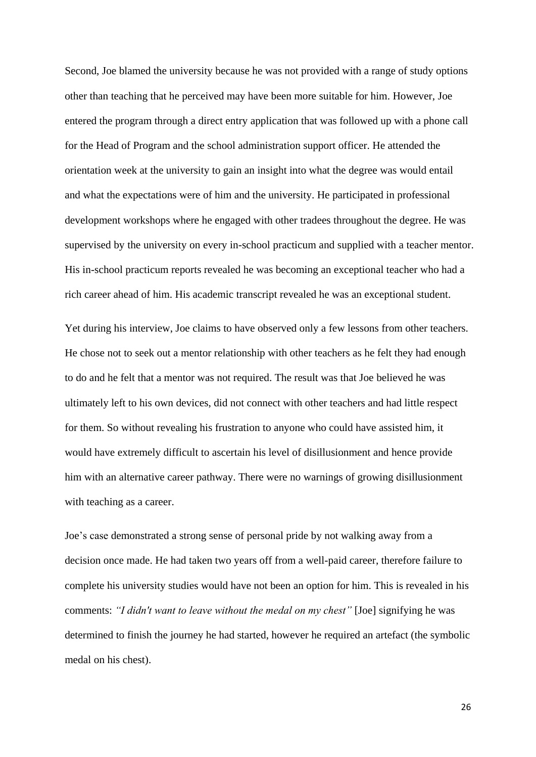Second, Joe blamed the university because he was not provided with a range of study options other than teaching that he perceived may have been more suitable for him. However, Joe entered the program through a direct entry application that was followed up with a phone call for the Head of Program and the school administration support officer. He attended the orientation week at the university to gain an insight into what the degree was would entail and what the expectations were of him and the university. He participated in professional development workshops where he engaged with other tradees throughout the degree. He was supervised by the university on every in-school practicum and supplied with a teacher mentor. His in-school practicum reports revealed he was becoming an exceptional teacher who had a rich career ahead of him. His academic transcript revealed he was an exceptional student.

Yet during his interview, Joe claims to have observed only a few lessons from other teachers. He chose not to seek out a mentor relationship with other teachers as he felt they had enough to do and he felt that a mentor was not required. The result was that Joe believed he was ultimately left to his own devices, did not connect with other teachers and had little respect for them. So without revealing his frustration to anyone who could have assisted him, it would have extremely difficult to ascertain his level of disillusionment and hence provide him with an alternative career pathway. There were no warnings of growing disillusionment with teaching as a career.

Joe's case demonstrated a strong sense of personal pride by not walking away from a decision once made. He had taken two years off from a well-paid career, therefore failure to complete his university studies would have not been an option for him. This is revealed in his comments: *"I didn't want to leave without the medal on my chest"* [Joe] signifying he was determined to finish the journey he had started, however he required an artefact (the symbolic medal on his chest).

26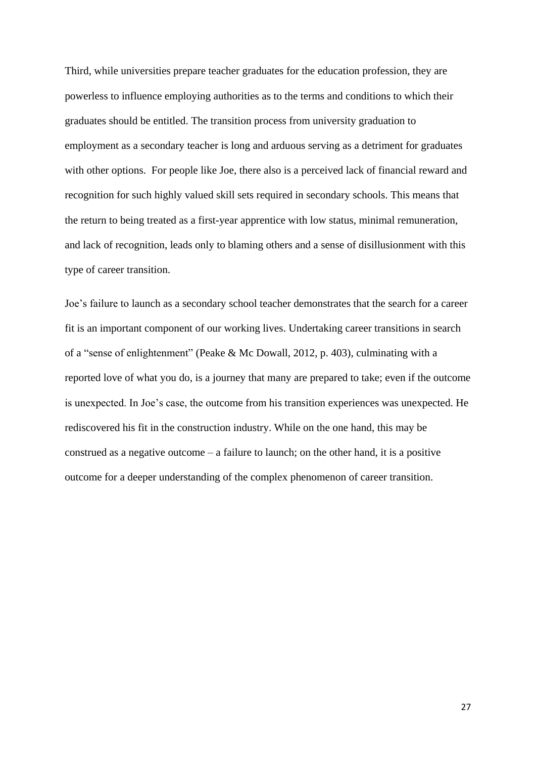Third, while universities prepare teacher graduates for the education profession, they are powerless to influence employing authorities as to the terms and conditions to which their graduates should be entitled. The transition process from university graduation to employment as a secondary teacher is long and arduous serving as a detriment for graduates with other options. For people like Joe, there also is a perceived lack of financial reward and recognition for such highly valued skill sets required in secondary schools. This means that the return to being treated as a first-year apprentice with low status, minimal remuneration, and lack of recognition, leads only to blaming others and a sense of disillusionment with this type of career transition.

Joe's failure to launch as a secondary school teacher demonstrates that the search for a career fit is an important component of our working lives. Undertaking career transitions in search of a "sense of enlightenment" (Peake & Mc Dowall, 2012, p. 403), culminating with a reported love of what you do, is a journey that many are prepared to take; even if the outcome is unexpected. In Joe's case, the outcome from his transition experiences was unexpected. He rediscovered his fit in the construction industry. While on the one hand, this may be construed as a negative outcome – a failure to launch; on the other hand, it is a positive outcome for a deeper understanding of the complex phenomenon of career transition.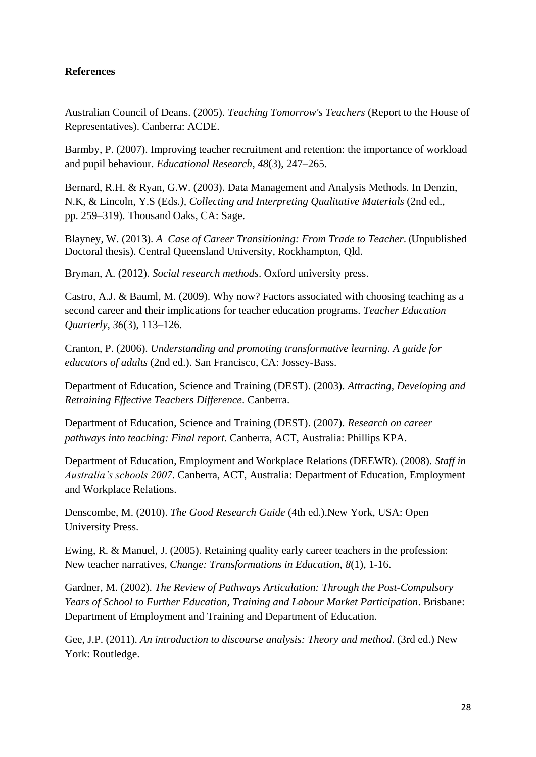# **References**

Australian Council of Deans. (2005). *Teaching Tomorrow's Teachers* (Report to the House of Representatives). Canberra: ACDE.

Barmby, P. (2007). Improving teacher recruitment and retention: the importance of workload and pupil behaviour. *Educational Research*, *48*(3), 247–265.

Bernard, R.H. & Ryan, G.W. (2003). Data Management and Analysis Methods. In Denzin, N.K, & Lincoln, Y.S (Eds*.), Collecting and Interpreting Qualitative Materials* (2nd ed., pp. 259–319). Thousand Oaks, CA: Sage.

Blayney, W. (2013). *A Case of Career Transitioning: From Trade to Teacher*. (Unpublished Doctoral thesis). Central Queensland University, Rockhampton, Qld.

Bryman, A. (2012). *Social research methods*. Oxford university press.

Castro, A.J. & Bauml, M. (2009). Why now? Factors associated with choosing teaching as a second career and their implications for teacher education programs. *Teacher Education Quarterly, 36*(3), 113–126.

Cranton, P. (2006). *Understanding and promoting transformative learning. A guide for educators of adults* (2nd ed.). San Francisco, CA: Jossey-Bass.

Department of Education, Science and Training (DEST). (2003). *Attracting, Developing and Retraining Effective Teachers Difference*. Canberra.

Department of Education, Science and Training (DEST). (2007). *Research on career pathways into teaching: Final report*. Canberra, ACT, Australia: Phillips KPA.

Department of Education, Employment and Workplace Relations (DEEWR). (2008). *Staff in Australia's schools 2007*. Canberra, ACT, Australia: Department of Education, Employment and Workplace Relations.

Denscombe, M. (2010). *The Good Research Guide* (4th ed.).New York, USA: Open University Press.

Ewing, R. & Manuel, J. (2005). Retaining quality early career teachers in the profession: New teacher narratives, *Change: Transformations in Education, 8*(1), 1-16.

Gardner, M. (2002). *The Review of Pathways Articulation: Through the Post-Compulsory Years of School to Further Education, Training and Labour Market Participation*. Brisbane: Department of Employment and Training and Department of Education.

Gee, J.P. (2011). *An introduction to discourse analysis: Theory and method*. (3rd ed.) New York: Routledge.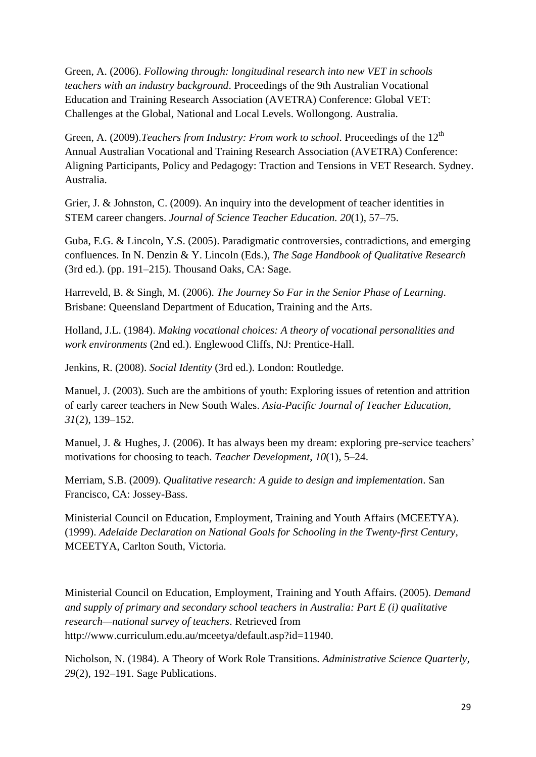Green, A. (2006). *Following through: longitudinal research into new VET in schools teachers with an industry background*. Proceedings of the 9th Australian Vocational Education and Training Research Association (AVETRA) Conference: Global VET: Challenges at the Global, National and Local Levels. Wollongong. Australia.

Green, A. (2009). *Teachers from Industry: From work to school*. Proceedings of the 12<sup>th</sup> Annual Australian Vocational and Training Research Association (AVETRA) Conference: Aligning Participants, Policy and Pedagogy: Traction and Tensions in VET Research. Sydney. Australia.

Grier, J. & Johnston, C. (2009). An inquiry into the development of teacher identities in STEM career changers. *Journal of Science Teacher Education. 20*(1), 57–75.

Guba, E.G. & Lincoln, Y.S. (2005). Paradigmatic controversies, contradictions, and emerging confluences. In N. Denzin & Y. Lincoln (Eds.), *The Sage Handbook of Qualitative Research* (3rd ed.). (pp. 191–215). Thousand Oaks, CA: Sage.

Harreveld, B. & Singh, M. (2006). *The Journey So Far in the Senior Phase of Learning*. Brisbane: Queensland Department of Education, Training and the Arts.

Holland, J.L. (1984). *Making vocational choices: A theory of vocational personalities and work environments* (2nd ed.). Englewood Cliffs, NJ: Prentice-Hall.

Jenkins, R. (2008). *Social Identity* (3rd ed.). London: Routledge.

Manuel, J. (2003). Such are the ambitions of youth: Exploring issues of retention and attrition of early career teachers in New South Wales. *Asia-Pacific Journal of Teacher Education, 31*(2), 139–152.

Manuel, J. & Hughes, J. (2006). It has always been my dream: exploring pre-service teachers' motivations for choosing to teach. *Teacher Development*, *10*(1), 5–24.

Merriam, S.B. (2009). *Qualitative research: A guide to design and implementation*. San Francisco, CA: Jossey-Bass.

Ministerial Council on Education, Employment, Training and Youth Affairs (MCEETYA). (1999). *Adelaide Declaration on National Goals for Schooling in the Twenty-first Century*, MCEETYA, Carlton South, Victoria.

Ministerial Council on Education, Employment, Training and Youth Affairs. (2005). *Demand and supply of primary and secondary school teachers in Australia: Part E (i) qualitative research—national survey of teachers*. Retrieved from [http://www.curriculum.edu.au/mceetya/default.asp?id=11940.](http://www.curriculum.edu.au/mceetya/default.asp?id=11940)

Nicholson, N. (1984). A Theory of Work Role Transitions*. Administrative Science Quarterly, 29*(2), 192–191*.* Sage Publications.